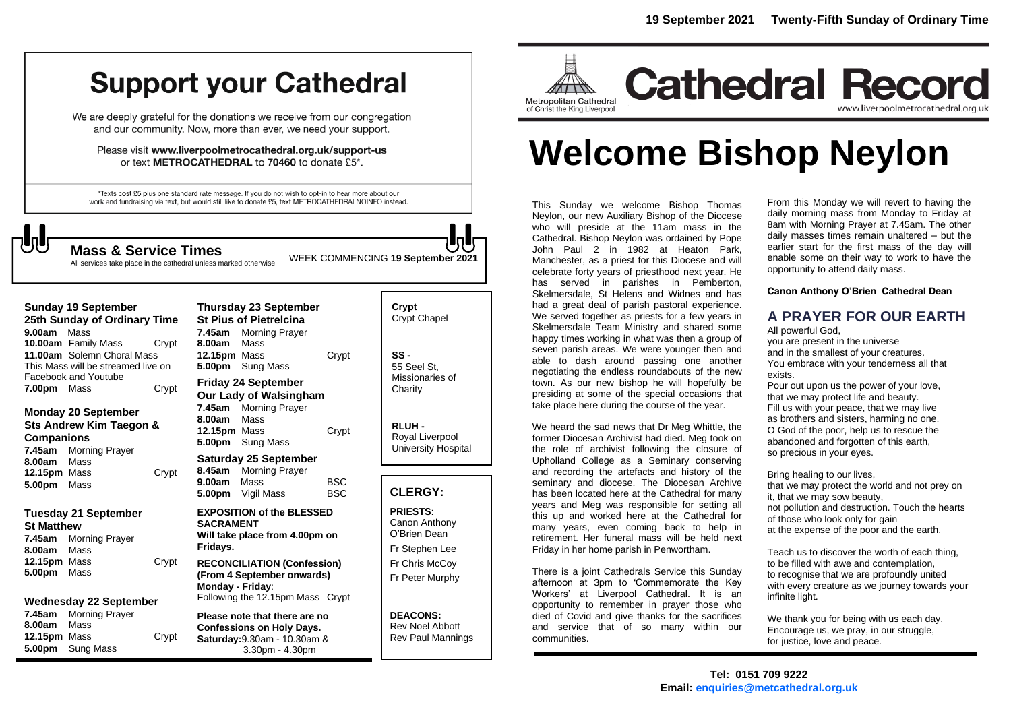## **Support your Cathedral**

We are deeply grateful for the donations we receive from our congregation and our community. Now, more than ever, we need your support.

Please visit www.liverpoolmetrocathedral.org.uk/support-us or text METROCATHEDRAL to 70460 to donate £5\*.

\*Texts cost £5 plus one standard rate message. If you do not wish to opt-in to hear more about our work and fundraising via text, but would still like to donate £5, text METROCATHEDRALNOINFO instead.

All services take place in the cathedral unless marked otherwise

WEEK COMMENCING **<sup>19</sup> September <sup>2021</sup> Mass & Service Times**

| <b>Sunday 19 September</b>         |                      |       |
|------------------------------------|----------------------|-------|
| 25th Sunday of Ordinary Time       |                      |       |
| 9.00am Mass                        |                      |       |
|                                    | 10.00am Family Mass  | Crvpt |
| 11.00am Solemn Choral Mass         |                      |       |
| This Mass will be streamed live on |                      |       |
|                                    | Facebook and Youtube |       |
| 7.00pm Mass                        |                      | Crypt |

#### **Monday 20 September Sts Andrew Kim Taegon & Companions 7.45am** Morning Prayer **8.00am** Mass

**12.15pm** Mass Crypt **5.00pm** Mass

#### **Tuesday 21 September St Matthew**

**7.45am** Morning Prayer **8.00am** Mass **12.15pm** Mass Crypt **5.00pm** Mass

#### **Wednesday 22 September**

**7.45am** Morning Prayer **8.00am** Mass **12.15pm** Mass Crypt **5.00pm** Sung Mass

**Thursday 23 September St Pius of Pietrelcina 7.45am** Morning Prayer **8.00am** Mass **12.15pm** Mass Crypt **5.00pm** Sung Mass **Friday 24 September Our Lady of Walsingham 7.45am** Morning Prayer **8.00am** Mass **12.15pm** Mass Crypt **5.00pm** Sung Mass **Saturday 25 September 8.45am** Morning Prayer **9.00am** Mass BSC **5.00pm** Vigil Mass BSC **EXPOSITION of the BLESSED SACRAMENT Will take place from 4.00pm on Fridays.**

#### **RECONCILIATION (Confession) (From 4 September onwards) Monday - Friday**: Following the 12.15pm Mass Crypt

**Please note that there are no Confessions on Holy Days. Saturday:**9.30am - 10.30am & 3.30pm - 4.30pm

### **Crypt**  Crypt Chapel **SS -** 55 Seel St, Missionaries of **Charity RLUH -**

Royal Liverpool University Hospital

#### **CLERGY:**

**PRIESTS:** Canon Anthony O'Brien *Dean* Fr Stephen Lee Fr Chris McCoy

Fr Peter Murphy

**DEACONS:** Rev Noel Abbott Rev Paul Mannings



# **Welcome Bishop Neylon**

This Sunday we welcome Bishop Thomas Neylon, our new Auxiliary Bishop of the Diocese who will preside at the 11am mass in the Cathedral. Bishop Neylon was ordained by Pope John Paul 2 in 1982 at Heaton Park, Manchester, as a priest for this Diocese and will celebrate forty years of priesthood next year. He has served in parishes in Pemberton, Skelmersdale, St Helens and Widnes and has had a great deal of parish pastoral experience. We served together as priests for a few years in Skelmersdale Team Ministry and shared some happy times working in what was then a group of seven parish areas. We were younger then and able to dash around passing one another negotiating the endless roundabouts of the new town. As our new bishop he will hopefully be presiding at some of the special occasions that take place here during the course of the year.

We heard the sad news that Dr Meg Whittle, the former Diocesan Archivist had died. Meg took on the role of archivist following the closure of Upholland College as a Seminary conserving and recording the artefacts and history of the seminary and diocese. The Diocesan Archive has been located here at the Cathedral for many years and Meg was responsible for setting all this up and worked here at the Cathedral for many years, even coming back to help in retirement. Her funeral mass will be held next Friday in her home parish in Penwortham.

There is a joint Cathedrals Service this Sunday afternoon at 3pm to 'Commemorate the Key Workers' at Liverpool Cathedral. It is an opportunity to remember in prayer those who died of Covid and give thanks for the sacrifices and service that of so many within our communities.

From this Monday we will revert to having the daily morning mass from Monday to Friday at 8am with Morning Prayer at 7.45am. The other daily masses times remain unaltered – but the earlier start for the first mass of the day will enable some on their way to work to have the opportunity to attend daily mass.

#### **Canon Anthony O'Brien Cathedral Dean**

#### **A PRAYER FOR OUR EARTH**

All powerful God,

you are present in the universe and in the smallest of your creatures. You embrace with your tenderness all that exists.

Pour out upon us the power of your love, that we may protect life and beauty. Fill us with your peace, that we may live as brothers and sisters, harming no one. O God of the poor, help us to rescue the abandoned and forgotten of this earth, so precious in your eyes.

Bring healing to our lives, that we may protect the world and not prey on it, that we may sow beauty, not pollution and destruction. Touch the hearts of those who look only for gain at the expense of the poor and the earth.

Teach us to discover the worth of each thing, to be filled with awe and contemplation, to recognise that we are profoundly united with every creature as we journey towards your infinite light.

We thank you for being with us each day. Encourage us, we pray, in our struggle, for justice, love and peace.